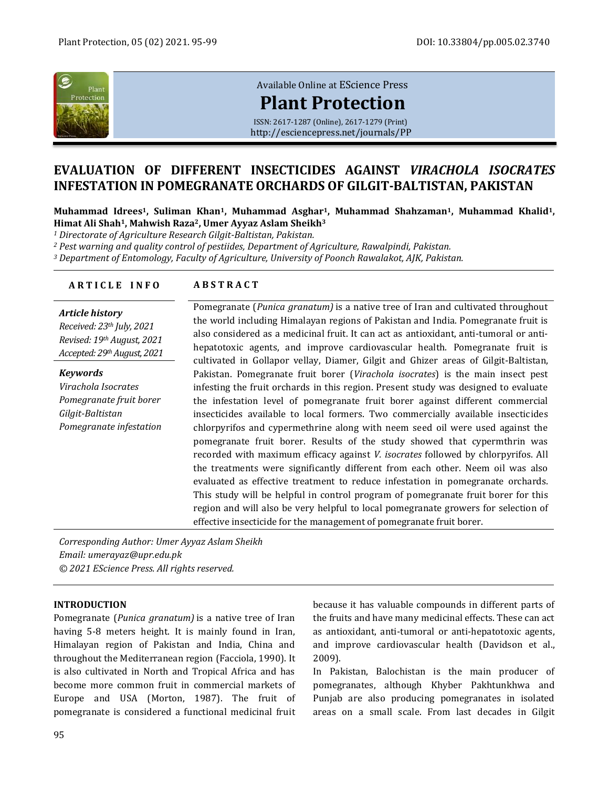

# [Available Online at](http://esciencepress.net/journals/PP) EScience Press

**[Plant Protection](http://esciencepress.net/journals/PP)**

ISSN: 2617-1287 (Online), 2617-1279 (Print) <http://esciencepress.net/journals/PP>

# **EVALUATION OF DIFFERENT INSECTICIDES AGAINST** *VIRACHOLA ISOCRATES* **INFESTATION IN POMEGRANATE ORCHARDS OF GILGIT-BALTISTAN, PAKISTAN**

**Muhammad Idrees <sup>1</sup>, Suliman Khan1, Muhammad Asghar1, Muhammad Shahzaman1, Muhammad Khalid1, Himat Ali Shah1, Mahwish Raza2, Umer Ayyaz Aslam Sheikh<sup>3</sup>**

*<sup>1</sup> Directorate of Agriculture Research Gilgit-Baltistan, Pakistan.*

*<sup>2</sup> Pest warning and quality control of pestiides, Department of Agriculture, Rawalpindi, Pakistan.*

*<sup>3</sup> Department of Entomology, Faculty of Agriculture, University of Poonch Rawalakot, AJK, Pakistan.*

# **A R T I C L E I N F O A B S T R A C T**

#### *Article history*

*Received: 23th July, 2021 Revised: 19th August, 2021 Accepted: 29th August, 2021*

*Keywords Virachola Isocrates Pomegranate fruit borer Gilgit-Baltistan Pomegranate infestation*

Pomegranate (*Punica granatum)* is a native tree of Iran and cultivated throughout the world including Himalayan regions of Pakistan and India. Pomegranate fruit is also considered as a medicinal fruit. It can act as antioxidant, anti-tumoral or antihepatotoxic agents, and improve cardiovascular health. Pomegranate fruit is cultivated in Gollapor vellay, Diamer, Gilgit and Ghizer areas of Gilgit-Baltistan, Pakistan. Pomegranate fruit borer (*Virachola isocrates*) is the main insect pest infesting the fruit orchards in this region. Present study was designed to evaluate the infestation level of pomegranate fruit borer against different commercial insecticides available to local formers. Two commercially available insecticides chlorpyrifos and cypermethrine along with neem seed oil were used against the pomegranate fruit borer. Results of the study showed that cypermthrin was recorded with maximum efficacy against *V. isocrates* followed by chlorpyrifos. All the treatments were significantly different from each other. Neem oil was also evaluated as effective treatment to reduce infestation in pomegranate orchards. This study will be helpful in control program of pomegranate fruit borer for this region and will also be very helpful to local pomegranate growers for selection of effective insecticide for the management of pomegranate fruit borer.

*Corresponding Author: Umer Ayyaz Aslam Sheikh Email: umerayaz@upr.edu.pk © 2021 EScience Press. All rights reserved.*

## **INTRODUCTION**

Pomegranate (*Punica granatum)* is a native tree of Iran having 5-8 meters height. It is mainly found in Iran, Himalayan region of Pakistan and India, China and throughout the Mediterranean region (Facciola, 1990). It is also cultivated in North and Tropical Africa and has become more common fruit in commercial markets of Europe and USA (Morton, 1987). The fruit of pomegranate is considered a functional medicinal fruit

because it has valuable compounds in different parts of the fruits and have many medicinal effects. These can act as antioxidant, anti-tumoral or anti-hepatotoxic agents, and improve cardiovascular health (Davidson et al., 2009).

In Pakistan, Balochistan is the main producer of pomegranates, although Khyber Pakhtunkhwa and Punjab are also producing pomegranates in isolated areas on a small scale. From last decades in Gilgit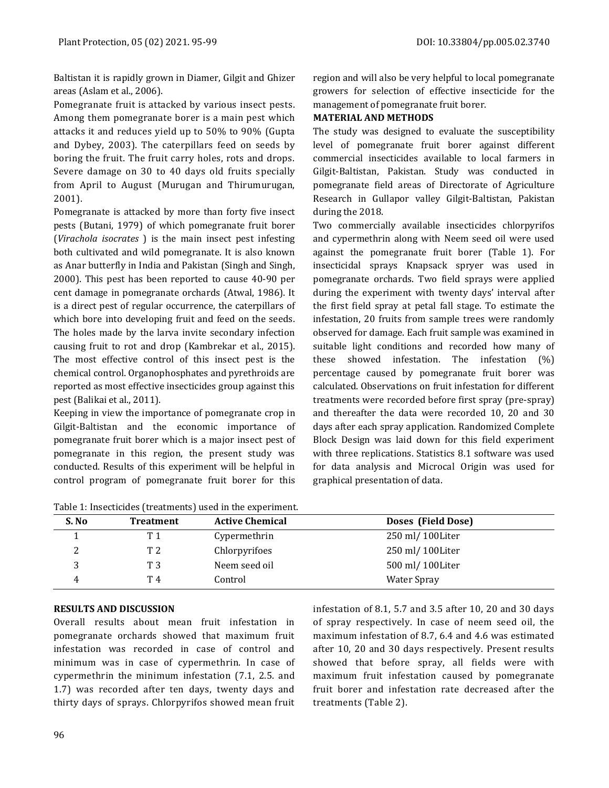Baltistan it is rapidly grown in Diamer, Gilgit and Ghizer areas (Aslam et al., 2006).

Pomegranate fruit is attacked by various insect pests. Among them pomegranate borer is a main pest which attacks it and reduces yield up to 50% to 90% (Gupta and Dybey, 2003). The caterpillars feed on seeds by boring the fruit. The fruit carry holes, rots and drops. Severe damage on 30 to 40 days old fruits specially from April to August (Murugan and Thirumurugan, 2001).

Pomegranate is attacked by more than forty five insect pests (Butani, 1979) of which pomegranate fruit borer (*Virachola isocrates* ) is the main insect pest infesting both cultivated and wild pomegranate. It is also known as Anar butterfly in India and Pakistan (Singh and Singh, 2000). This pest has been reported to cause 40-90 per cent damage in pomegranate orchards (Atwal, 1986). It is a direct pest of regular occurrence, the caterpillars of which bore into developing fruit and feed on the seeds. The holes made by the larva invite secondary infection causing fruit to rot and drop (Kambrekar et al., 2015). The most effective control of this insect pest is the chemical control. Organophosphates and pyrethroids are reported as most effective insecticides group against this pest (Balikai et al., 2011).

Keeping in view the importance of pomegranate crop in Gilgit-Baltistan and the economic importance of pomegranate fruit borer which is a major insect pest of pomegranate in this region, the present study was conducted. Results of this experiment will be helpful in control program of pomegranate fruit borer for this

region and will also be very helpful to local pomegranate growers for selection of effective insecticide for the management of pomegranate fruit borer.

# **MATERIAL AND METHODS**

The study was designed to evaluate the susceptibility level of pomegranate fruit borer against different commercial insecticides available to local farmers in Gilgit-Baltistan, Pakistan. Study was conducted in pomegranate field areas of Directorate of Agriculture Research in Gullapor valley Gilgit-Baltistan, Pakistan during the 2018.

Two commercially available insecticides chlorpyrifos and cypermethrin along with Neem seed oil were used against the pomegranate fruit borer (Table 1). For insecticidal sprays Knapsack spryer was used in pomegranate orchards. Two field sprays were applied during the experiment with twenty days' interval after the first field spray at petal fall stage. To estimate the infestation, 20 fruits from sample trees were randomly observed for damage. Each fruit sample was examined in suitable light conditions and recorded how many of these showed infestation. The infestation (%) percentage caused by pomegranate fruit borer was calculated. Observations on fruit infestation for different treatments were recorded before first spray (pre-spray) and thereafter the data were recorded 10, 20 and 30 days after each spray application. Randomized Complete Block Design was laid down for this field experiment with three replications. Statistics 8.1 software was used for data analysis and Microcal Origin was used for graphical presentation of data.

| rable 11 inocentrato (treatmento) abea in the experiment. |                  |                        |                    |  |  |  |  |
|-----------------------------------------------------------|------------------|------------------------|--------------------|--|--|--|--|
| S. No                                                     | <b>Treatment</b> | <b>Active Chemical</b> | Doses (Field Dose) |  |  |  |  |
|                                                           | T 1              | Cypermethrin           | 250 ml/100Liter    |  |  |  |  |
| ∸                                                         | T 2              | Chlorpyrifoes          | 250 ml/100Liter    |  |  |  |  |
|                                                           | T 3              | Neem seed oil          | 500 ml/ 100Liter   |  |  |  |  |
|                                                           | T 4              | Control                | <b>Water Spray</b> |  |  |  |  |

Table 1: Insecticides (treatments) used in the experiment.

# **RESULTS AND DISCUSSION**

Overall results about mean fruit infestation in pomegranate orchards showed that maximum fruit infestation was recorded in case of control and minimum was in case of cypermethrin. In case of cypermethrin the minimum infestation (7.1, 2.5. and 1.7) was recorded after ten days, twenty days and thirty days of sprays. Chlorpyrifos showed mean fruit infestation of 8.1, 5.7 and 3.5 after 10, 20 and 30 days of spray respectively. In case of neem seed oil, the maximum infestation of 8.7, 6.4 and 4.6 was estimated after 10, 20 and 30 days respectively. Present results showed that before spray, all fields were with maximum fruit infestation caused by pomegranate fruit borer and infestation rate decreased after the treatments (Table 2).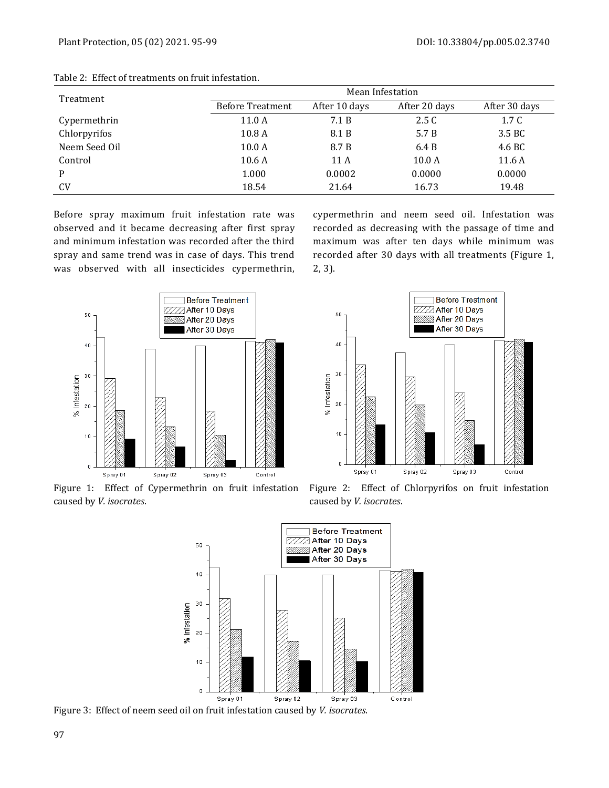| Treatment     | Mean Infestation        |               |               |                  |  |
|---------------|-------------------------|---------------|---------------|------------------|--|
|               | <b>Before Treatment</b> | After 10 days | After 20 days | After 30 days    |  |
| Cypermethrin  | 11.0A                   | 7.1 B         | 2.5C          | 1.7 <sub>C</sub> |  |
| Chlorpyrifos  | 10.8 <sub>A</sub>       | 8.1 B         | 5.7 B         | 3.5 BC           |  |
| Neem Seed Oil | 10.0 <sub>A</sub>       | 8.7 B         | 6.4 B         | 4.6 BC           |  |
| Control       | 10.6A                   | 11 A          | 10.0 A        | 11.6A            |  |
| P             | 1.000                   | 0.0002        | 0.0000        | 0.0000           |  |
| <b>CV</b>     | 18.54                   | 21.64         | 16.73         | 19.48            |  |

Table 2: Effect of treatments on fruit infestation.

Before spray maximum fruit infestation rate was observed and it became decreasing after first spray and minimum infestation was recorded after the third spray and same trend was in case of days. This trend was observed with all insecticides cypermethrin,

**Before Treatment After 10 Days**  $50\,$ After 20 Days After 30 Days 40  $30$ % Infestation 20  $10\,$ Spray 01 Spray 02 Spray 03 Control

Figure 1: Effect of Cypermethrin on fruit infestation caused by *V. isocrates*.



cypermethrin and neem seed oil. Infestation was



Figure 2: Effect of Chlorpyrifos on fruit infestation caused by *V. isocrates*.



Figure 3: Effect of neem seed oil on fruit infestation caused by *V. isocrates*.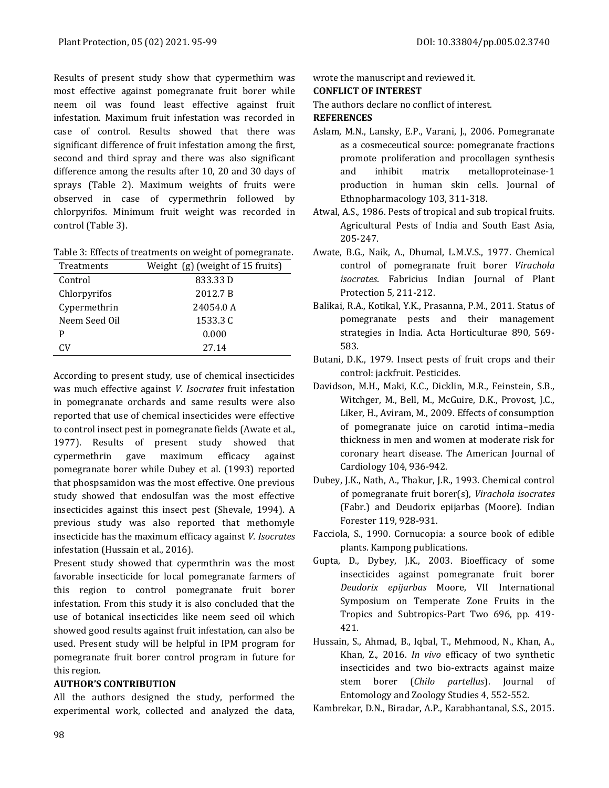Results of present study show that cypermethirn was most effective against pomegranate fruit borer while neem oil was found least effective against fruit infestation. Maximum fruit infestation was recorded in case of control. Results showed that there was significant difference of fruit infestation among the first, second and third spray and there was also significant difference among the results after 10, 20 and 30 days of sprays (Table 2). Maximum weights of fruits were observed in case of cypermethrin followed by chlorpyrifos. Minimum fruit weight was recorded in control (Table 3).

Table 3: Effects of treatments on weight of pomegranate.

| Treatments    | Weight $(g)$ (weight of 15 fruits) |  |  |
|---------------|------------------------------------|--|--|
| Control       | 833.33 D                           |  |  |
| Chlorpyrifos  | 2012.7 B                           |  |  |
| Cypermethrin  | 24054.0 A                          |  |  |
| Neem Seed Oil | 1533.3 C                           |  |  |
| P             | 0.000                              |  |  |
| Cν            | 27.14                              |  |  |

According to present study, use of chemical insecticides was much effective against *V. Isocrates* fruit infestation in pomegranate orchards and same results were also reported that use of chemical insecticides were effective to control insect pest in pomegranate fields (Awate et al., 1977). Results of present study showed that cypermethrin gave maximum efficacy against pomegranate borer while Dubey et al. (1993) reported that phospsamidon was the most effective. One previous study showed that endosulfan was the most effective insecticides against this insect pest (Shevale, 1994). A previous study was also reported that methomyle insecticide has the maximum efficacy against *V. Isocrates*  infestation (Hussain et al., 2016).

Present study showed that cypermthrin was the most favorable insecticide for local pomegranate farmers of this region to control pomegranate fruit borer infestation. From this study it is also concluded that the use of botanical insecticides like neem seed oil which showed good results against fruit infestation, can also be used. Present study will be helpful in IPM program for pomegranate fruit borer control program in future for this region.

## **AUTHOR'S CONTRIBUTION**

All the authors designed the study, performed the experimental work, collected and analyzed the data, wrote the manuscript and reviewed it.

#### **CONFLICT OF INTEREST**

The authors declare no conflict of interest.

#### **REFERENCES**

- Aslam, M.N., Lansky, E.P., Varani, J., 2006. Pomegranate as a cosmeceutical source: pomegranate fractions promote proliferation and procollagen synthesis and inhibit matrix metalloproteinase-1 production in human skin cells. Journal of Ethnopharmacology 103, 311-318.
- Atwal, A.S., 1986. Pests of tropical and sub tropical fruits. Agricultural Pests of India and South East Asia, 205-247.
- Awate, B.G., Naik, A., Dhumal, L.M.V.S., 1977. Chemical control of pomegranate fruit borer *Virachola isocrates*. Fabricius Indian Journal of Plant Protection 5, 211-212.
- Balikai, R.A., Kotikal, Y.K., Prasanna, P.M., 2011. Status of pomegranate pests and their management strategies in India. Acta Horticulturae 890, 569- 583.
- Butani, D.K., 1979. Insect pests of fruit crops and their control: jackfruit. Pesticides.
- Davidson, M.H., Maki, K.C., Dicklin, M.R., Feinstein, S.B., Witchger, M., Bell, M., McGuire, D.K., Provost, J.C., Liker, H., Aviram, M., 2009. Effects of consumption of pomegranate juice on carotid intima–media thickness in men and women at moderate risk for coronary heart disease. The American Journal of Cardiology 104, 936-942.
- Dubey, J.K., Nath, A., Thakur, J.R., 1993. Chemical control of pomegranate fruit borer(s), *Virachola isocrates* (Fabr.) and Deudorix epijarbas (Moore). Indian Forester 119, 928-931.
- Facciola, S., 1990. Cornucopia: a source book of edible plants. Kampong publications.
- Gupta, D., Dybey, J.K., 2003. Bioefficacy of some insecticides against pomegranate fruit borer *Deudorix epijarbas* Moore, VII International Symposium on Temperate Zone Fruits in the Tropics and Subtropics-Part Two 696, pp. 419- 421.
- Hussain, S., Ahmad, B., Iqbal, T., Mehmood, N., Khan, A., Khan, Z., 2016. *In vivo* efficacy of two synthetic insecticides and two bio-extracts against maize stem borer (*Chilo partellus*). Journal of Entomology and Zoology Studies 4, 552-552.

Kambrekar, D.N., Biradar, A.P., Karabhantanal, S.S., 2015.